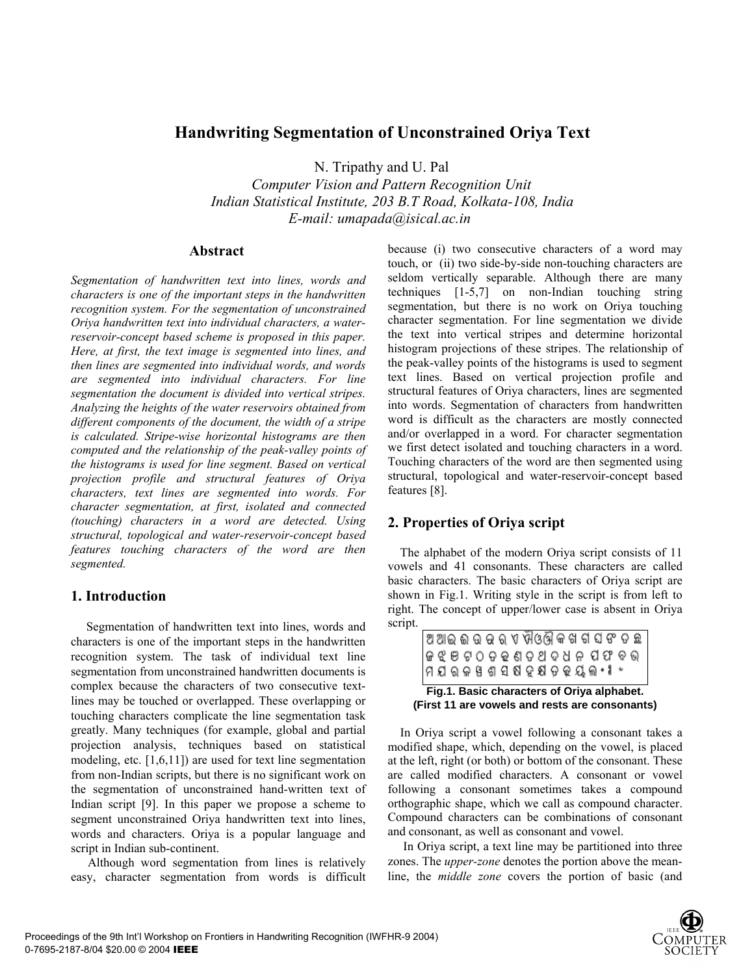# **Handwriting Segmentation of Unconstrained Oriya Text**

N. Tripathy and U. Pal

 *Computer Vision and Pattern Recognition Unit Indian Statistical Institute, 203 B.T Road, Kolkata-108, India E-mail: umapada@isical.ac.in* 

#### **Abstract**

*Segmentation of handwritten text into lines, words and characters is one of the important steps in the handwritten recognition system. For the segmentation of unconstrained Oriya handwritten text into individual characters, a waterreservoir-concept based scheme is proposed in this paper. Here, at first, the text image is segmented into lines, and then lines are segmented into individual words, and words are segmented into individual characters. For line segmentation the document is divided into vertical stripes. Analyzing the heights of the water reservoirs obtained from different components of the document, the width of a stripe is calculated. Stripe-wise horizontal histograms are then computed and the relationship of the peak-valley points of the histograms is used for line segment. Based on vertical projection profile and structural features of Oriya characters, text lines are segmented into words. For character segmentation, at first, isolated and connected (touching) characters in a word are detected. Using structural, topological and water-reservoir-concept based features touching characters of the word are then segmented.* 

# **1. Introduction**

 Segmentation of handwritten text into lines, words and characters is one of the important steps in the handwritten recognition system. The task of individual text line segmentation from unconstrained handwritten documents is complex because the characters of two consecutive textlines may be touched or overlapped. These overlapping or touching characters complicate the line segmentation task greatly. Many techniques (for example, global and partial projection analysis, techniques based on statistical modeling, etc. [1,6,11]) are used for text line segmentation from non-Indian scripts, but there is no significant work on the segmentation of unconstrained hand-written text of Indian script [9]. In this paper we propose a scheme to segment unconstrained Oriya handwritten text into lines, words and characters. Oriya is a popular language and script in Indian sub-continent.

 Although word segmentation from lines is relatively easy, character segmentation from words is difficult because (i) two consecutive characters of a word may touch, or (ii) two side-by-side non-touching characters are seldom vertically separable. Although there are many techniques [1-5,7] on non-Indian touching string segmentation, but there is no work on Oriya touching character segmentation. For line segmentation we divide the text into vertical stripes and determine horizontal histogram projections of these stripes. The relationship of the peak-valley points of the histograms is used to segment text lines. Based on vertical projection profile and structural features of Oriya characters, lines are segmented into words. Segmentation of characters from handwritten word is difficult as the characters are mostly connected and/or overlapped in a word. For character segmentation we first detect isolated and touching characters in a word. Touching characters of the word are then segmented using structural, topological and water-reservoir-concept based features [8].

### **2. Properties of Oriya script**

 The alphabet of the modern Oriya script consists of 11 vowels and 41 consonants. These characters are called basic characters. The basic characters of Oriya script are shown in Fig.1. Writing style in the script is from left to right. The concept of upper/lower case is absent in Oriya script.



**Fig.1. Basic characters of Oriya alphabet. (First 11 are vowels and rests are consonants)**

 In Oriya script a vowel following a consonant takes a modified shape, which, depending on the vowel, is placed at the left, right (or both) or bottom of the consonant. These are called modified characters. A consonant or vowel following a consonant sometimes takes a compound orthographic shape, which we call as compound character. Compound characters can be combinations of consonant and consonant, as well as consonant and vowel.

 In Oriya script, a text line may be partitioned into three zones. The *upper-zone* denotes the portion above the meanline, the *middle zone* covers the portion of basic (and

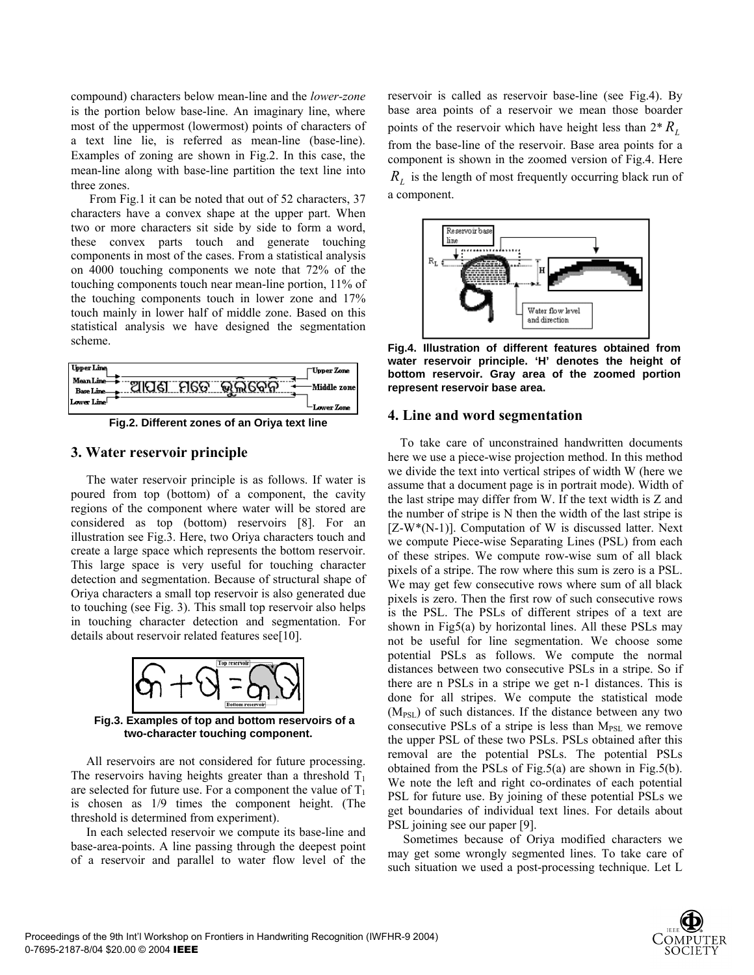compound) characters below mean-line and the *lower-zone* is the portion below base-line. An imaginary line, where most of the uppermost (lowermost) points of characters of a text line lie, is referred as mean-line (base-line). Examples of zoning are shown in Fig.2. In this case, the mean-line along with base-line partition the text line into three zones.

 From Fig.1 it can be noted that out of 52 characters, 37 characters have a convex shape at the upper part. When two or more characters sit side by side to form a word, these convex parts touch and generate touching components in most of the cases. From a statistical analysis on 4000 touching components we note that 72% of the touching components touch near mean-line portion, 11% of the touching components touch in lower zone and 17% touch mainly in lower half of middle zone. Based on this statistical analysis we have designed the segmentation scheme.



**Fig.2. Different zones of an Oriya text line**

# **3. Water reservoir principle**

 The water reservoir principle is as follows. If water is poured from top (bottom) of a component, the cavity regions of the component where water will be stored are considered as top (bottom) reservoirs [8]. For an illustration see Fig.3. Here, two Oriya characters touch and create a large space which represents the bottom reservoir. This large space is very useful for touching character detection and segmentation. Because of structural shape of Oriya characters a small top reservoir is also generated due to touching (see Fig. 3). This small top reservoir also helps in touching character detection and segmentation. For details about reservoir related features see[10].



 All reservoirs are not considered for future processing. The reservoirs having heights greater than a threshold  $T_1$ are selected for future use. For a component the value of  $T_1$ is chosen as 1/9 times the component height. (The threshold is determined from experiment).

 In each selected reservoir we compute its base-line and base-area-points. A line passing through the deepest point of a reservoir and parallel to water flow level of the reservoir is called as reservoir base-line (see Fig.4). By base area points of a reservoir we mean those boarder points of the reservoir which have height less than  $2^* R_L$ from the base-line of the reservoir. Base area points for a component is shown in the zoomed version of Fig.4. Here  $R<sub>L</sub>$  is the length of most frequently occurring black run of a component.



**Fig.4. Illustration of different features obtained from water reservoir principle. 'H' denotes the height of bottom reservoir. Gray area of the zoomed portion represent reservoir base area.** 

#### **4. Line and word segmentation**

 To take care of unconstrained handwritten documents here we use a piece-wise projection method. In this method we divide the text into vertical stripes of width W (here we assume that a document page is in portrait mode). Width of the last stripe may differ from W. If the text width is Z and the number of stripe is N then the width of the last stripe is  $[Z-W^*(N-1)]$ . Computation of W is discussed latter. Next we compute Piece-wise Separating Lines (PSL) from each of these stripes. We compute row-wise sum of all black pixels of a stripe. The row where this sum is zero is a PSL. We may get few consecutive rows where sum of all black pixels is zero. Then the first row of such consecutive rows is the PSL. The PSLs of different stripes of a text are shown in Fig5(a) by horizontal lines. All these PSLs may not be useful for line segmentation. We choose some potential PSLs as follows. We compute the normal distances between two consecutive PSLs in a stripe. So if there are n PSLs in a stripe we get n-1 distances. This is done for all stripes. We compute the statistical mode  $(M<sub>PSL</sub>)$  of such distances. If the distance between any two consecutive PSLs of a stripe is less than  $M_{PSL}$  we remove the upper PSL of these two PSLs. PSLs obtained after this removal are the potential PSLs. The potential PSLs obtained from the PSLs of Fig.5(a) are shown in Fig.5(b). We note the left and right co-ordinates of each potential PSL for future use. By joining of these potential PSLs we get boundaries of individual text lines. For details about PSL joining see our paper [9].

 Sometimes because of Oriya modified characters we may get some wrongly segmented lines. To take care of such situation we used a post-processing technique. Let L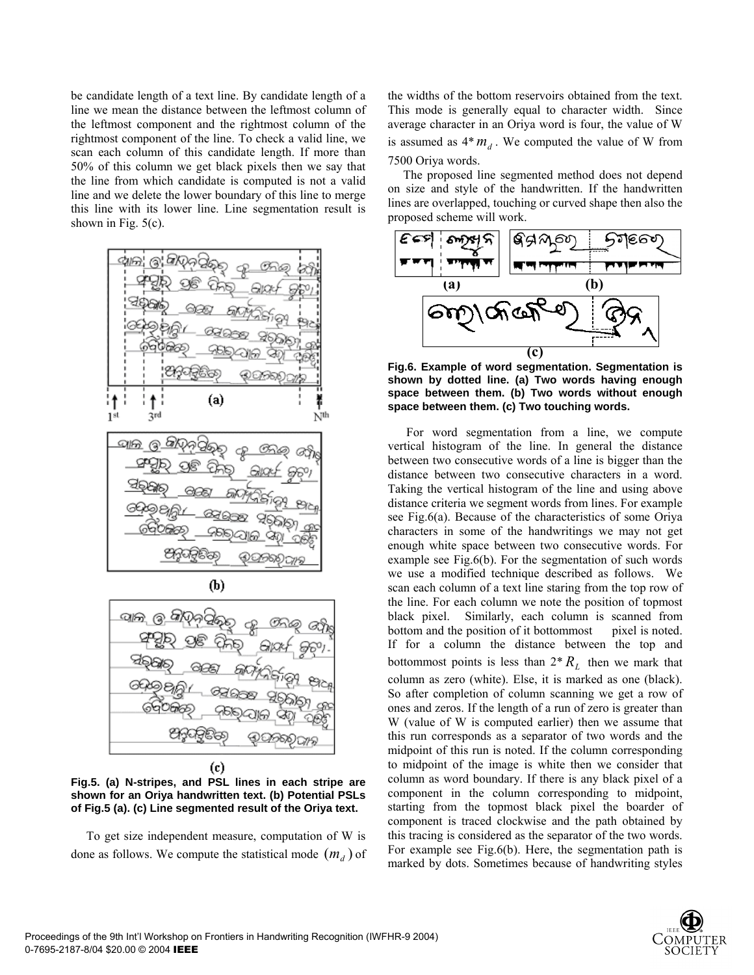be candidate length of a text line. By candidate length of a line we mean the distance between the leftmost column of the leftmost component and the rightmost column of the rightmost component of the line. To check a valid line, we scan each column of this candidate length. If more than 50% of this column we get black pixels then we say that the line from which candidate is computed is not a valid line and we delete the lower boundary of this line to merge this line with its lower line. Line segmentation result is shown in Fig. 5(c).



 **Fig.5. (a) N-stripes, and PSL lines in each stripe are shown for an Oriya handwritten text. (b) Potential PSLs of Fig.5 (a). (c) Line segmented result of the Oriya text.** 

 To get size independent measure, computation of W is done as follows. We compute the statistical mode  $(m_d)$  of the widths of the bottom reservoirs obtained from the text. This mode is generally equal to character width. Since average character in an Oriya word is four, the value of W is assumed as  $4 \times m_d$ . We computed the value of W from 7500 Oriya words.

 The proposed line segmented method does not depend on size and style of the handwritten. If the handwritten lines are overlapped, touching or curved shape then also the proposed scheme will work.



**Fig.6. Example of word segmentation. Segmentation is shown by dotted line. (a) Two words having enough space between them. (b) Two words without enough space between them. (c) Two touching words.** 

 For word segmentation from a line, we compute vertical histogram of the line. In general the distance between two consecutive words of a line is bigger than the distance between two consecutive characters in a word. Taking the vertical histogram of the line and using above distance criteria we segment words from lines. For example see Fig.6(a). Because of the characteristics of some Oriya characters in some of the handwritings we may not get enough white space between two consecutive words. For example see Fig.6(b). For the segmentation of such words we use a modified technique described as follows. We scan each column of a text line staring from the top row of the line. For each column we note the position of topmost black pixel. Similarly, each column is scanned from bottom and the position of it bottommost pixel is noted. If for a column the distance between the top and bottommost points is less than  $2^* R_L$  then we mark that column as zero (white). Else, it is marked as one (black). So after completion of column scanning we get a row of ones and zeros. If the length of a run of zero is greater than W (value of W is computed earlier) then we assume that this run corresponds as a separator of two words and the midpoint of this run is noted. If the column corresponding to midpoint of the image is white then we consider that column as word boundary. If there is any black pixel of a component in the column corresponding to midpoint, starting from the topmost black pixel the boarder of component is traced clockwise and the path obtained by this tracing is considered as the separator of the two words. For example see Fig.6(b). Here, the segmentation path is marked by dots. Sometimes because of handwriting styles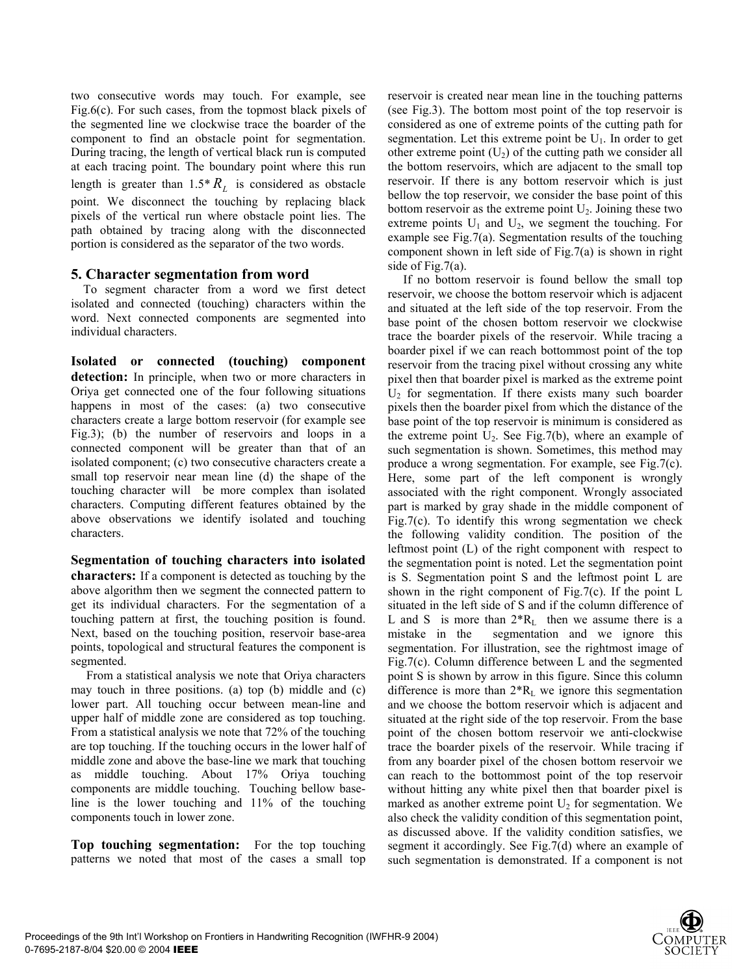two consecutive words may touch. For example, see Fig.6(c). For such cases, from the topmost black pixels of the segmented line we clockwise trace the boarder of the component to find an obstacle point for segmentation. During tracing, the length of vertical black run is computed at each tracing point. The boundary point where this run length is greater than  $1.5 \times R_L$  is considered as obstacle point. We disconnect the touching by replacing black pixels of the vertical run where obstacle point lies. The path obtained by tracing along with the disconnected portion is considered as the separator of the two words.

#### **5. Character segmentation from word**

 To segment character from a word we first detect isolated and connected (touching) characters within the word. Next connected components are segmented into individual characters.

**Isolated or connected (touching) component detection:** In principle, when two or more characters in Oriya get connected one of the four following situations happens in most of the cases: (a) two consecutive characters create a large bottom reservoir (for example see Fig.3); (b) the number of reservoirs and loops in a connected component will be greater than that of an isolated component; (c) two consecutive characters create a small top reservoir near mean line (d) the shape of the touching character will be more complex than isolated characters. Computing different features obtained by the above observations we identify isolated and touching characters.

**Segmentation of touching characters into isolated characters:** If a component is detected as touching by the above algorithm then we segment the connected pattern to get its individual characters. For the segmentation of a touching pattern at first, the touching position is found. Next, based on the touching position, reservoir base-area points, topological and structural features the component is segmented.

 From a statistical analysis we note that Oriya characters may touch in three positions. (a) top (b) middle and (c) lower part. All touching occur between mean-line and upper half of middle zone are considered as top touching. From a statistical analysis we note that 72% of the touching are top touching. If the touching occurs in the lower half of middle zone and above the base-line we mark that touching as middle touching. About 17% Oriya touching components are middle touching. Touching bellow baseline is the lower touching and 11% of the touching components touch in lower zone.

**Top touching segmentation:** For the top touching patterns we noted that most of the cases a small top reservoir is created near mean line in the touching patterns (see Fig.3). The bottom most point of the top reservoir is considered as one of extreme points of the cutting path for segmentation. Let this extreme point be  $U_1$ . In order to get other extreme point  $(U_2)$  of the cutting path we consider all the bottom reservoirs, which are adjacent to the small top reservoir. If there is any bottom reservoir which is just bellow the top reservoir, we consider the base point of this bottom reservoir as the extreme point  $U_2$ . Joining these two extreme points  $U_1$  and  $U_2$ , we segment the touching. For example see Fig.7(a). Segmentation results of the touching component shown in left side of Fig.7(a) is shown in right side of Fig.7(a).

 If no bottom reservoir is found bellow the small top reservoir, we choose the bottom reservoir which is adjacent and situated at the left side of the top reservoir. From the base point of the chosen bottom reservoir we clockwise trace the boarder pixels of the reservoir. While tracing a boarder pixel if we can reach bottommost point of the top reservoir from the tracing pixel without crossing any white pixel then that boarder pixel is marked as the extreme point  $U_2$  for segmentation. If there exists many such boarder pixels then the boarder pixel from which the distance of the base point of the top reservoir is minimum is considered as the extreme point  $U_2$ . See Fig.7(b), where an example of such segmentation is shown. Sometimes, this method may produce a wrong segmentation. For example, see Fig.7(c). Here, some part of the left component is wrongly associated with the right component. Wrongly associated part is marked by gray shade in the middle component of Fig.7(c). To identify this wrong segmentation we check the following validity condition. The position of the leftmost point (L) of the right component with respect to the segmentation point is noted. Let the segmentation point is S. Segmentation point S and the leftmost point L are shown in the right component of Fig.7(c). If the point  $L$ situated in the left side of S and if the column difference of L and S is more than  $2^*R_l$  then we assume there is a mistake in the segmentation and we ignore this segmentation. For illustration, see the rightmost image of Fig.7(c). Column difference between L and the segmented point S is shown by arrow in this figure. Since this column difference is more than  $2^*R_L$  we ignore this segmentation and we choose the bottom reservoir which is adjacent and situated at the right side of the top reservoir. From the base point of the chosen bottom reservoir we anti-clockwise trace the boarder pixels of the reservoir. While tracing if from any boarder pixel of the chosen bottom reservoir we can reach to the bottommost point of the top reservoir without hitting any white pixel then that boarder pixel is marked as another extreme point  $U_2$  for segmentation. We also check the validity condition of this segmentation point, as discussed above. If the validity condition satisfies, we segment it accordingly. See Fig.7(d) where an example of such segmentation is demonstrated. If a component is not

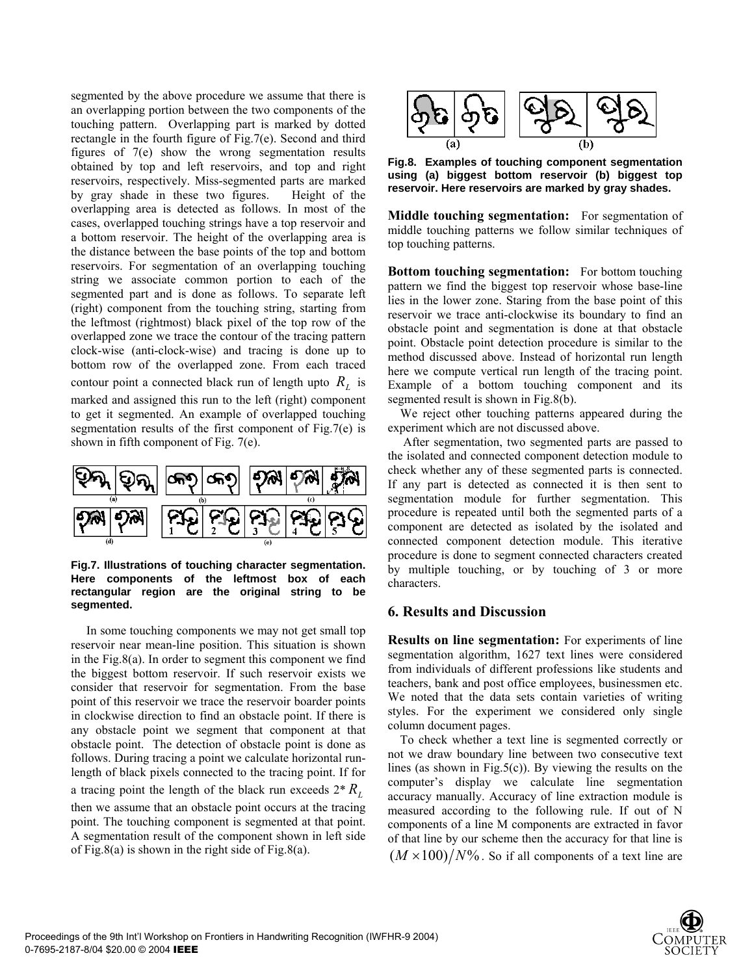segmented by the above procedure we assume that there is an overlapping portion between the two components of the touching pattern. Overlapping part is marked by dotted rectangle in the fourth figure of Fig.7(e). Second and third figures of 7(e) show the wrong segmentation results obtained by top and left reservoirs, and top and right reservoirs, respectively. Miss-segmented parts are marked by gray shade in these two figures. Height of the overlapping area is detected as follows. In most of the cases, overlapped touching strings have a top reservoir and a bottom reservoir. The height of the overlapping area is the distance between the base points of the top and bottom reservoirs. For segmentation of an overlapping touching string we associate common portion to each of the segmented part and is done as follows. To separate left (right) component from the touching string, starting from the leftmost (rightmost) black pixel of the top row of the overlapped zone we trace the contour of the tracing pattern clock-wise (anti-clock-wise) and tracing is done up to bottom row of the overlapped zone. From each traced contour point a connected black run of length upto  $R_L$  is marked and assigned this run to the left (right) component to get it segmented. An example of overlapped touching segmentation results of the first component of Fig.7(e) is shown in fifth component of Fig. 7(e).



**Fig.7. Illustrations of touching character segmentation. Here components of the leftmost box of each rectangular region are the original string to be segmented.** 

 In some touching components we may not get small top reservoir near mean-line position. This situation is shown in the Fig.8(a). In order to segment this component we find the biggest bottom reservoir. If such reservoir exists we consider that reservoir for segmentation. From the base point of this reservoir we trace the reservoir boarder points in clockwise direction to find an obstacle point. If there is any obstacle point we segment that component at that obstacle point. The detection of obstacle point is done as follows. During tracing a point we calculate horizontal runlength of black pixels connected to the tracing point. If for a tracing point the length of the black run exceeds  $2 \times R<sub>L</sub>$ then we assume that an obstacle point occurs at the tracing point. The touching component is segmented at that point. A segmentation result of the component shown in left side of Fig.8(a) is shown in the right side of Fig.8(a).



**Fig.8. Examples of touching component segmentation using (a) biggest bottom reservoir (b) biggest top reservoir. Here reservoirs are marked by gray shades.** 

**Middle touching segmentation:** For segmentation of middle touching patterns we follow similar techniques of top touching patterns.

**Bottom touching segmentation:** For bottom touching pattern we find the biggest top reservoir whose base-line lies in the lower zone. Staring from the base point of this reservoir we trace anti-clockwise its boundary to find an obstacle point and segmentation is done at that obstacle point. Obstacle point detection procedure is similar to the method discussed above. Instead of horizontal run length here we compute vertical run length of the tracing point. Example of a bottom touching component and its segmented result is shown in Fig.8(b).

 We reject other touching patterns appeared during the experiment which are not discussed above.

 After segmentation, two segmented parts are passed to the isolated and connected component detection module to check whether any of these segmented parts is connected. If any part is detected as connected it is then sent to segmentation module for further segmentation. This procedure is repeated until both the segmented parts of a component are detected as isolated by the isolated and connected component detection module. This iterative procedure is done to segment connected characters created by multiple touching, or by touching of 3 or more characters.

# **6. Results and Discussion**

**Results on line segmentation:** For experiments of line segmentation algorithm, 1627 text lines were considered from individuals of different professions like students and teachers, bank and post office employees, businessmen etc. We noted that the data sets contain varieties of writing styles. For the experiment we considered only single column document pages.

 To check whether a text line is segmented correctly or not we draw boundary line between two consecutive text lines (as shown in Fig.5(c)). By viewing the results on the computer's display we calculate line segmentation accuracy manually. Accuracy of line extraction module is measured according to the following rule. If out of N components of a line M components are extracted in favor of that line by our scheme then the accuracy for that line is  $(M \times 100)/N\%$ . So if all components of a text line are